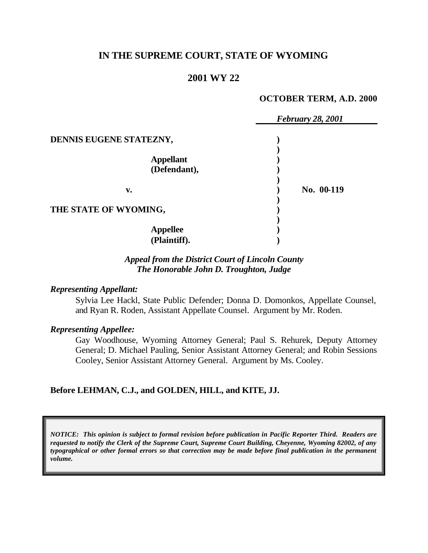## **IN THE SUPREME COURT, STATE OF WYOMING**

## **2001 WY 22**

#### **OCTOBER TERM, A.D. 2000**

|                         | <b>February 28, 2001</b> |
|-------------------------|--------------------------|
| DENNIS EUGENE STATEZNY, |                          |
|                         |                          |
| <b>Appellant</b>        |                          |
| (Defendant),            |                          |
|                         |                          |
| v.                      | No. 00-119               |
| THE STATE OF WYOMING,   |                          |
|                         |                          |
| <b>Appellee</b>         |                          |
| (Plaintiff).            |                          |

### *Appeal from the District Court of Lincoln County The Honorable John D. Troughton, Judge*

#### *Representing Appellant:*

Sylvia Lee Hackl, State Public Defender; Donna D. Domonkos, Appellate Counsel, and Ryan R. Roden, Assistant Appellate Counsel. Argument by Mr. Roden.

#### *Representing Appellee:*

Gay Woodhouse, Wyoming Attorney General; Paul S. Rehurek, Deputy Attorney General; D. Michael Pauling, Senior Assistant Attorney General; and Robin Sessions Cooley, Senior Assistant Attorney General. Argument by Ms. Cooley.

### **Before LEHMAN, C.J., and GOLDEN, HILL, and KITE, JJ.**

*NOTICE: This opinion is subject to formal revision before publication in Pacific Reporter Third. Readers are requested to notify the Clerk of the Supreme Court, Supreme Court Building, Cheyenne, Wyoming 82002, of any typographical or other formal errors so that correction may be made before final publication in the permanent volume.*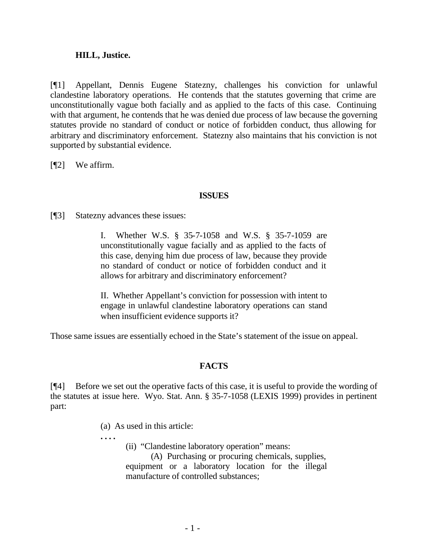### **HILL, Justice.**

[¶1] Appellant, Dennis Eugene Statezny, challenges his conviction for unlawful clandestine laboratory operations. He contends that the statutes governing that crime are unconstitutionally vague both facially and as applied to the facts of this case. Continuing with that argument, he contends that he was denied due process of law because the governing statutes provide no standard of conduct or notice of forbidden conduct, thus allowing for arbitrary and discriminatory enforcement. Statezny also maintains that his conviction is not supported by substantial evidence.

[¶2] We affirm.

## **ISSUES**

[¶3] Statezny advances these issues:

I. Whether W.S. § 35-7-1058 and W.S. § 35-7-1059 are unconstitutionally vague facially and as applied to the facts of this case, denying him due process of law, because they provide no standard of conduct or notice of forbidden conduct and it allows for arbitrary and discriminatory enforcement?

II. Whether Appellant's conviction for possession with intent to engage in unlawful clandestine laboratory operations can stand when insufficient evidence supports it?

Those same issues are essentially echoed in the State's statement of the issue on appeal.

# **FACTS**

[¶4] Before we set out the operative facts of this case, it is useful to provide the wording of the statutes at issue here. Wyo. Stat. Ann. § 35-7-1058 (LEXIS 1999) provides in pertinent part:

(a) As used in this article:

**. . . .**

(ii) "Clandestine laboratory operation" means:

(A) Purchasing or procuring chemicals, supplies, equipment or a laboratory location for the illegal manufacture of controlled substances;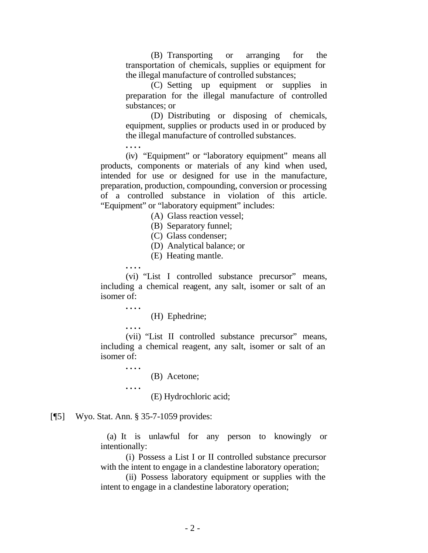(B) Transporting or arranging for the transportation of chemicals, supplies or equipment for the illegal manufacture of controlled substances;

(C) Setting up equipment or supplies in preparation for the illegal manufacture of controlled substances; or

(D) Distributing or disposing of chemicals, equipment, supplies or products used in or produced by the illegal manufacture of controlled substances.

**. . . .** (iv) "Equipment" or "laboratory equipment" means all products, components or materials of any kind when used, intended for use or designed for use in the manufacture, preparation, production, compounding, conversion or processing of a controlled substance in violation of this article. "Equipment" or "laboratory equipment" includes:

(A) Glass reaction vessel;

(B) Separatory funnel;

(C) Glass condenser;

(D) Analytical balance; or

(E) Heating mantle.

**. . . .**

(vi) "List I controlled substance precursor" means, including a chemical reagent, any salt, isomer or salt of an isomer of:

**. . . .**

(H) Ephedrine;

**. . . .**

(vii) "List II controlled substance precursor" means, including a chemical reagent, any salt, isomer or salt of an isomer of:

**. . . .**

**. . . .**

(B) Acetone;

(E) Hydrochloric acid;

#### [¶5] Wyo. Stat. Ann. § 35-7-1059 provides:

 (a) It is unlawful for any person to knowingly or intentionally:

(i) Possess a List I or II controlled substance precursor with the intent to engage in a clandestine laboratory operation;

(ii) Possess laboratory equipment or supplies with the intent to engage in a clandestine laboratory operation;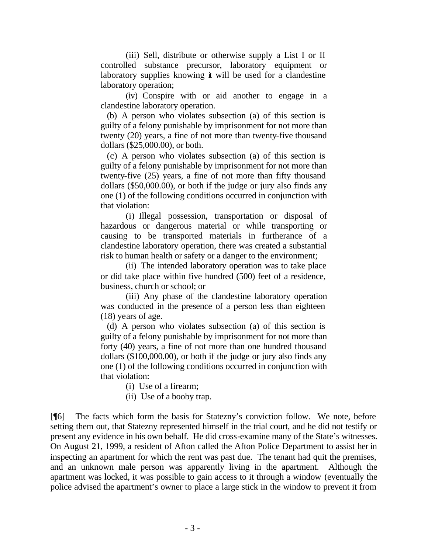(iii) Sell, distribute or otherwise supply a List I or II controlled substance precursor, laboratory equipment or laboratory supplies knowing it will be used for a clandestine laboratory operation;

(iv) Conspire with or aid another to engage in a clandestine laboratory operation.

 (b) A person who violates subsection (a) of this section is guilty of a felony punishable by imprisonment for not more than twenty (20) years, a fine of not more than twenty-five thousand dollars (\$25,000.00), or both.

 (c) A person who violates subsection (a) of this section is guilty of a felony punishable by imprisonment for not more than twenty-five (25) years, a fine of not more than fifty thousand dollars (\$50,000.00), or both if the judge or jury also finds any one (1) of the following conditions occurred in conjunction with that violation:

(i) Illegal possession, transportation or disposal of hazardous or dangerous material or while transporting or causing to be transported materials in furtherance of a clandestine laboratory operation, there was created a substantial risk to human health or safety or a danger to the environment;

(ii) The intended laboratory operation was to take place or did take place within five hundred (500) feet of a residence, business, church or school; or

(iii) Any phase of the clandestine laboratory operation was conducted in the presence of a person less than eighteen (18) years of age.

 (d) A person who violates subsection (a) of this section is guilty of a felony punishable by imprisonment for not more than forty (40) years, a fine of not more than one hundred thousand dollars (\$100,000.00), or both if the judge or jury also finds any one (1) of the following conditions occurred in conjunction with that violation:

(i) Use of a firearm;

(ii) Use of a booby trap.

[¶6] The facts which form the basis for Statezny's conviction follow. We note, before setting them out, that Statezny represented himself in the trial court, and he did not testify or present any evidence in his own behalf. He did cross-examine many of the State's witnesses. On August 21, 1999, a resident of Afton called the Afton Police Department to assist her in inspecting an apartment for which the rent was past due. The tenant had quit the premises, and an unknown male person was apparently living in the apartment. Although the apartment was locked, it was possible to gain access to it through a window (eventually the police advised the apartment's owner to place a large stick in the window to prevent it from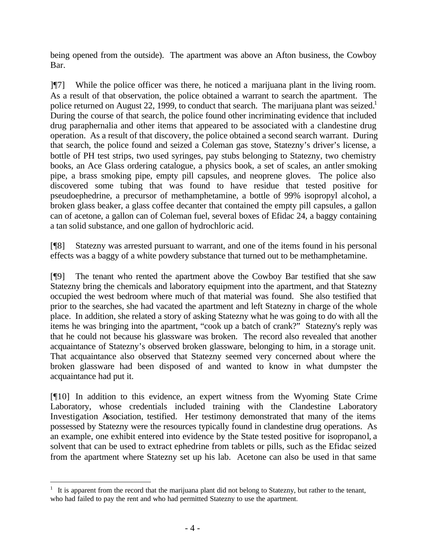being opened from the outside). The apartment was above an Afton business, the Cowboy Bar.

]¶7] While the police officer was there, he noticed a marijuana plant in the living room. As a result of that observation, the police obtained a warrant to search the apartment. The police returned on August 22, 1999, to conduct that search. The marijuana plant was seized.<sup>1</sup> During the course of that search, the police found other incriminating evidence that included drug paraphernalia and other items that appeared to be associated with a clandestine drug operation. As a result of that discovery, the police obtained a second search warrant. During that search, the police found and seized a Coleman gas stove, Statezny's driver's license, a bottle of PH test strips, two used syringes, pay stubs belonging to Statezny, two chemistry books, an Ace Glass ordering catalogue, a physics book, a set of scales, an antler smoking pipe, a brass smoking pipe, empty pill capsules, and neoprene gloves. The police also discovered some tubing that was found to have residue that tested positive for pseudoephedrine, a precursor of methamphetamine, a bottle of 99% isopropyl alcohol, a broken glass beaker, a glass coffee decanter that contained the empty pill capsules, a gallon can of acetone, a gallon can of Coleman fuel, several boxes of Efidac 24, a baggy containing a tan solid substance, and one gallon of hydrochloric acid.

[¶8] Statezny was arrested pursuant to warrant, and one of the items found in his personal effects was a baggy of a white powdery substance that turned out to be methamphetamine.

[¶9] The tenant who rented the apartment above the Cowboy Bar testified that she saw Statezny bring the chemicals and laboratory equipment into the apartment, and that Statezny occupied the west bedroom where much of that material was found. She also testified that prior to the searches, she had vacated the apartment and left Statezny in charge of the whole place. In addition, she related a story of asking Statezny what he was going to do with all the items he was bringing into the apartment, "cook up a batch of crank?" Statezny's reply was that he could not because his glassware was broken. The record also revealed that another acquaintance of Statezny's observed broken glassware, belonging to him, in a storage unit. That acquaintance also observed that Statezny seemed very concerned about where the broken glassware had been disposed of and wanted to know in what dumpster the acquaintance had put it.

[¶10] In addition to this evidence, an expert witness from the Wyoming State Crime Laboratory, whose credentials included training with the Clandestine Laboratory Investigation Association, testified. Her testimony demonstrated that many of the items possessed by Statezny were the resources typically found in clandestine drug operations. As an example, one exhibit entered into evidence by the State tested positive for isopropanol, a solvent that can be used to extract ephedrine from tablets or pills, such as the Efidac seized from the apartment where Statezny set up his lab. Acetone can also be used in that same

l

 $1$  It is apparent from the record that the marijuana plant did not belong to Statezny, but rather to the tenant, who had failed to pay the rent and who had permitted Statezny to use the apartment.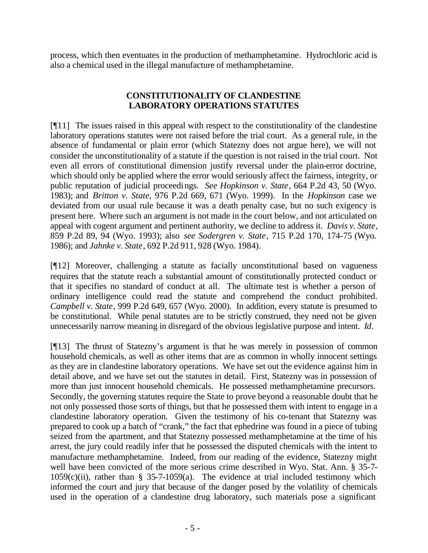process, which then eventuates in the production of methamphetamine. Hydrochloric acid is also a chemical used in the illegal manufacture of methamphetamine.

## **CONSTITUTIONALITY OF CLANDESTINE LABORATORY OPERATIONS STATUTES**

[¶11] The issues raised in this appeal with respect to the constitutionality of the clandestine laboratory operations statutes were not raised before the trial court. As a general rule, in the absence of fundamental or plain error (which Statezny does not argue here), we will not consider the unconstitutionality of a statute if the question is not raised in the trial court. Not even all errors of constitutional dimension justify reversal under the plain-error doctrine, which should only be applied where the error would seriously affect the fairness, integrity, or public reputation of judicial proceedings. *See Hopkinson v. State*, 664 P.2d 43, 50 (Wyo. 1983); and *Britton v. State*, 976 P.2d 669, 671 (Wyo. 1999). In the *Hopkinson* case we deviated from our usual rule because it was a death penalty case, but no such exigency is present here. Where such an argument is not made in the court below, and not articulated on appeal with cogent argument and pertinent authority, we decline to address it. *Davis v. State*, 859 P.2d 89, 94 (Wyo. 1993); also *see Sodergren v. State*, 715 P.2d 170, 174-75 (Wyo. 1986); and *Jahnke v. State*, 692 P.2d 911, 928 (Wyo. 1984).

[¶12] Moreover, challenging a statute as facially unconstitutional based on vagueness requires that the statute reach a substantial amount of constitutionally protected conduct or that it specifies no standard of conduct at all. The ultimate test is whether a person of ordinary intelligence could read the statute and comprehend the conduct prohibited. *Campbell v. State*, 999 P.2d 649, 657 (Wyo. 2000). In addition, every statute is presumed to be constitutional. While penal statutes are to be strictly construed, they need not be given unnecessarily narrow meaning in disregard of the obvious legislative purpose and intent. *Id*.

[¶13] The thrust of Statezny's argument is that he was merely in possession of common household chemicals, as well as other items that are as common in wholly innocent settings as they are in clandestine laboratory operations. We have set out the evidence against him in detail above, and we have set out the statutes in detail. First, Statezny was in possession of more than just innocent household chemicals. He possessed methamphetamine precursors. Secondly, the governing statutes require the State to prove beyond a reasonable doubt that he not only possessed those sorts of things, but that he possessed them with intent to engage in a clandestine laboratory operation. Given the testimony of his co-tenant that Statezny was prepared to cook up a batch of "crank," the fact that ephedrine was found in a piece of tubing seized from the apartment, and that Statezny possessed methamphetamine at the time of his arrest, the jury could readily infer that he possessed the disputed chemicals with the intent to manufacture methamphetamine. Indeed, from our reading of the evidence, Statezny might well have been convicted of the more serious crime described in Wyo. Stat. Ann. § 35-7-  $1059(c)(ii)$ , rather than § 35-7-1059(a). The evidence at trial included testimony which informed the court and jury that because of the danger posed by the volatility of chemicals used in the operation of a clandestine drug laboratory, such materials pose a significant